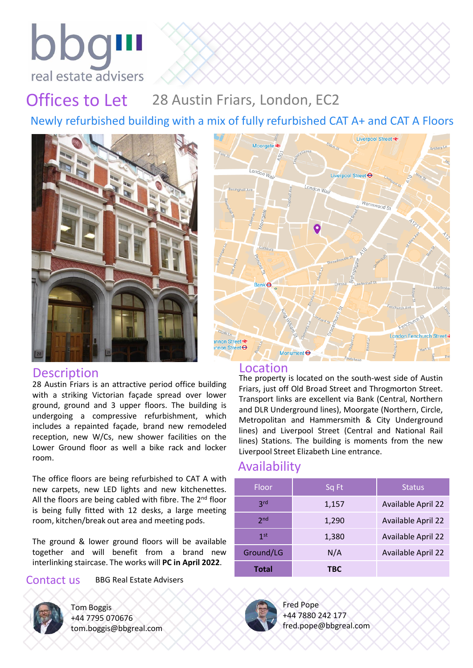

## Offices to Let 28 Austin Friars, London, EC2

Newly refurbished building with a mix of fully refurbished CAT A+ and CAT A Floors



## Description Location

28 Austin Friars is an attractive period office building with a striking Victorian façade spread over lower ground, ground and 3 upper floors. The building is undergoing a compressive refurbishment, which includes a repainted façade, brand new remodeled reception, new W/Cs, new shower facilities on the Lower Ground floor as well a bike rack and locker room.

The office floors are being refurbished to CAT A with new carpets, new LED lights and new kitchenettes. All the floors are being cabled with fibre. The 2<sup>nd</sup> floor is being fully fitted with 12 desks, a large meeting room, kitchen/break out area and meeting pods.

The ground & lower ground floors will be available together and will benefit from a brand new interlinking staircase. The works will **PC in April 2022**.

### Contact us BBG Real Estate Advisers



Tom Boggis +44 7795 070676 tom.boggis@bbgreal.com



The property is located on the south-west side of Austin Friars, just off Old Broad Street and Throgmorton Street. Transport links are excellent via Bank (Central, Northern and DLR Underground lines), Moorgate (Northern, Circle, Metropolitan and Hammersmith & City Underground lines) and Liverpool Street (Central and National Rail lines) Stations. The building is moments from the new Liverpool Street Elizabeth Line entrance.

## Availability

| Floor           | Sq Ft | <b>Status</b>             |
|-----------------|-------|---------------------------|
| 3 <sub>rd</sub> | 1,157 | <b>Available April 22</b> |
| 2 <sub>nd</sub> | 1,290 | <b>Available April 22</b> |
| 1 <sub>st</sub> | 1,380 | <b>Available April 22</b> |
| Ground/LG       | N/A   | <b>Available April 22</b> |
| Total           | TBC   |                           |



Fred Pope +44 7880 242 177 fred.pope@bbgreal.com